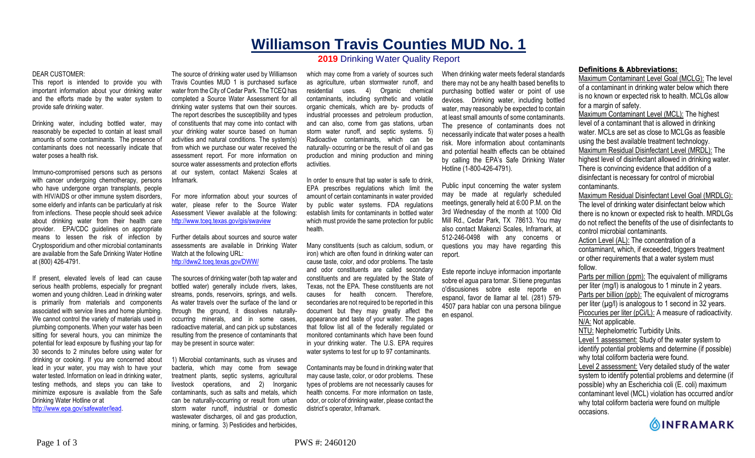## **Williamson Travis Counties MUD No. 1 2019** Drinking Water Quality Report

## DEAR CUSTOMER:

This report is intended to provide you with important information about your drinking water and the efforts made by the water system to provide safe drinking water.

Drinking water, including bottled water, may reasonably be expected to contain at least small amounts of some contaminants. The presence of contaminants does not necessarily indicate that water poses a health risk.

Immuno-compromised persons such as persons with cancer undergoing chemotherapy, persons who have undergone organ transplants, people with HIV/AIDS or other immune system disorders, some elderly and infants can be particularly at risk from infections. These people should seek advice about drinking water from their health care provider. EPA/CDC guidelines on appropriate means to lessen the risk of infection by Cryptosporidium and other microbial contaminants are available from the Safe Drinking Water Hotline at (800) 426-4791.

If present, elevated levels of lead can cause serious health problems, especially for pregnant women and young children. Lead in drinking water is primarily from materials and components associated with service lines and home plumbing. We cannot control the variety of materials used in plumbing components. When your water has been sitting for several hours, you can minimize the potential for lead exposure by flushing your tap for 30 seconds to 2 minutes before using water for drinking or cooking. If you are concerned about lead in your water, you may wish to have your water tested. Information on lead in drinking water, testing methods, and steps you can take to minimize exposure is available from the Safe Drinking Water Hotline or at http://www.epa.gov/safewater/lead.

The source of drinking water used by Williamson Travis Counties MUD 1 is purchased surface water from the City of Cedar Park. The TCEQ has completed a Source Water Assessment for all drinking water systems that own their sources. The report describes the susceptibility and types of constituents that may come into contact with your drinking water source based on human activities and natural conditions. The system(s) from which we purchase our water received the assessment report. For more information on source water assessments and protection efforts at our system, contact Makenzi Scales at

For more information about your sources of water, please refer to the Source Water Assessment Viewer available at the following: http://www.tceq.texas.gov/gis/swaview

Inframark.

Further details about sources and source water assessments are available in Drinking Water Watch at the following URL: http://dww2.tceq.texas.gov/DWW/

The sources of drinking water (both tap water and bottled water) generally include rivers, lakes, streams, ponds, reservoirs, springs, and wells. As water travels over the surface of the land or through the ground, it dissolves naturallyoccurring minerals, and in some cases, radioactive material, and can pick up substances resulting from the presence of contaminants that may be present in source water:

1) Microbial contaminants, such as viruses and bacteria, which may come from sewage treatment plants, septic systems, agricultural livestock operations, and 2) Inorganic contaminants, such as salts and metals, which can be naturally-occurring or result from urban storm water runoff, industrial or domestic wastewater discharges, oil and gas production, mining, or farming. 3) Pesticides and herbicides,

which may come from a variety of sources such as agriculture, urban stormwater runoff, and residential uses. 4) Organic chemical contaminants, including synthetic and volatile organic chemicals, which are by- products of industrial processes and petroleum production, and can also, come from gas stations, urban storm water runoff, and septic systems. 5) Radioactive contaminants, which can be naturally- occurring or be the result of oil and gas production and mining production and mining activities.

In order to ensure that tap water is safe to drink, EPA prescribes regulations which limit the amount of certain contaminants in water provided by public water systems. FDA regulations establish limits for contaminants in bottled water which must provide the same protection for public health.

Many constituents (such as calcium, sodium, or iron) which are often found in drinking water can cause taste, color, and odor problems. The taste and odor constituents are called secondary constituents and are regulated by the State of Texas, not the EPA. These constituents are not causes for health concern. Therefore, secondaries are not required to be reported in this document but they may greatly affect the appearance and taste of your water. The pages that follow list all of the federally regulated or monitored contaminants which have been found in your drinking water. The U.S. EPA requires water systems to test for up to 97 contaminants.

Contaminants may be found in drinking water that may cause taste, color, or odor problems. These types of problems are not necessarily causes for health concerns. For more information on taste, odor, or color of drinking water, please contact the district's operator, Inframark.

When drinking water meets federal standards there may not be any health based benefits to purchasing bottled water or point of use devices. Drinking water, including bottled water, may reasonably be expected to contain at least small amounts of some contaminants. The presence of contaminants does not necessarily indicate that water poses a health risk. More information about contaminants and potential health effects can be obtained by calling the EPA's Safe Drinking Water Hotline (1-800-426-4791).

Public input concerning the water system may be made at regularly scheduled meetings, generally held at 6:00 P.M. on the 3rd Wednesday of the month at 1000 Old Mill Rd., Cedar Park, TX 78613. You may also contact Makenzi Scales, Inframark, at 512-246-0498 with any concerns or questions you may have regarding this report.

Este reporte incluye informacion importante sobre el agua para tomar. Si tiene preguntas o'discusiones sobre este reporte en espanol, favor de llamar al tel. (281) 579- 4507 para hablar con una persona bilingue en espanol.

## **Definitions & Abbreviations:**

Maximum Contaminant Level Goal (MCLG): The level of a contaminant in drinking water below which there is no known or expected risk to health. MCLGs allow for a margin of safety.

Maximum Contaminant Level (MCL): The highest level of a contaminant that is allowed in drinking water. MCLs are set as close to MCLGs as feasible using the best available treatment technology. Maximum Residual Disinfectant Level (MRDL): The highest level of disinfectant allowed in drinking water. There is convincing evidence that addition of a disinfectant is necessary for control of microbial contaminants.

Maximum Residual Disinfectant Level Goal (MRDLG): The level of drinking water disinfectant below which there is no known or expected risk to health. MRDLGs do not reflect the benefits of the use of disinfectants to control microbial contaminants.

Action Level (AL): The concentration of a contaminant, which, if exceeded, triggers treatment or other requirements that a water system must follow.

Parts per million (ppm): The equivalent of milligrams per liter (mg/l) is analogous to 1 minute in 2 years. Parts per billion (ppb): The equivalent of micrograms per liter  $(\mu g/l)$  is analogous to 1 second in 32 years. Picocuries per liter (pCi/L): A measure of radioactivity. N/A: Not applicable. NTU: Nephelometric Turbidity Units. Level 1 assessment: Study of the water system to

identify potential problems and determine (if possible) why total coliform bacteria were found.

Level 2 assessment: Very detailed study of the water system to identify potential problems and determine (if possible) why an Escherichia coli (E. coli) maximum contaminant level (MCL) violation has occurred and/or why total coliform bacteria were found on multiple occasions.

**OINFRAMARK**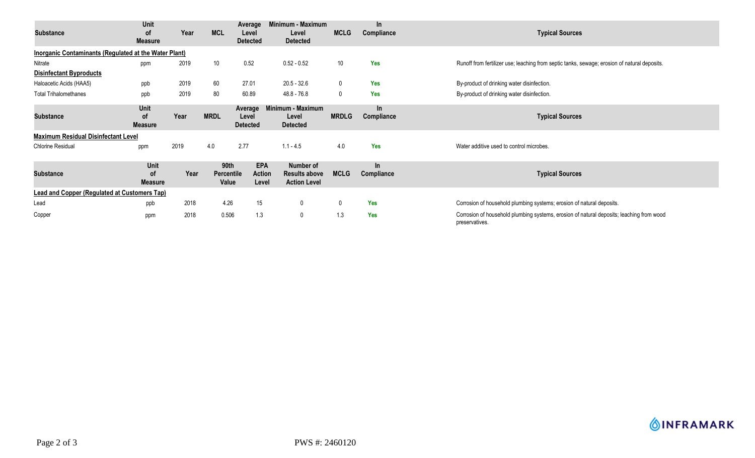| Substance                                                    | Unit<br><b>of</b><br><b>Measure</b> | Year | <b>MCL</b>                         | Average<br>Level<br><b>Detected</b> | Minimum - Maximum<br>Level<br><b>Detected</b>                   | <b>MCLG</b>  | In.<br>Compliance   | <b>Typical Sources</b>                                                                                     |  |  |  |
|--------------------------------------------------------------|-------------------------------------|------|------------------------------------|-------------------------------------|-----------------------------------------------------------------|--------------|---------------------|------------------------------------------------------------------------------------------------------------|--|--|--|
| <b>Inorganic Contaminants (Regulated at the Water Plant)</b> |                                     |      |                                    |                                     |                                                                 |              |                     |                                                                                                            |  |  |  |
| Nitrate                                                      | ppm                                 | 2019 | 10                                 | 0.52                                | $0.52 - 0.52$                                                   | 10           | <b>Yes</b>          | Runoff from fertilizer use; leaching from septic tanks, sewage; erosion of natural deposits.               |  |  |  |
| <b>Disinfectant Byproducts</b>                               |                                     |      |                                    |                                     |                                                                 |              |                     |                                                                                                            |  |  |  |
| Haloacetic Acids (HAA5)                                      | ppb                                 | 2019 | 60                                 | 27.01                               | $20.5 - 32.6$                                                   | $\mathbf 0$  | <b>Yes</b>          | By-product of drinking water disinfection.                                                                 |  |  |  |
| <b>Total Trihalomethanes</b>                                 | ppb                                 | 2019 | 80                                 | 60.89                               | $48.8 - 76.8$                                                   | $\mathbf{0}$ | <b>Yes</b>          | By-product of drinking water disinfection.                                                                 |  |  |  |
| <b>Substance</b>                                             | Unit<br><b>of</b><br><b>Measure</b> | Year | <b>MRDL</b>                        | Average<br>Level<br><b>Detected</b> | Minimum - Maximum<br>Level<br><b>Detected</b>                   | <b>MRDLG</b> | $\ln$<br>Compliance | <b>Typical Sources</b>                                                                                     |  |  |  |
| <b>Maximum Residual Disinfectant Level</b>                   |                                     |      |                                    |                                     |                                                                 |              |                     |                                                                                                            |  |  |  |
| <b>Chlorine Residual</b>                                     | ppm                                 | 2019 | 4.0                                | 2.77                                | $1.1 - 4.5$                                                     | 4.0          | Yes                 | Water additive used to control microbes.                                                                   |  |  |  |
| <b>Substance</b>                                             | Unit<br>οf<br><b>Measure</b>        | Year | 90th<br><b>Percentile</b><br>Value | <b>EPA</b><br>Action<br>Level       | <b>Number of</b><br><b>Results above</b><br><b>Action Level</b> | <b>MCLG</b>  | In<br>Compliance    | <b>Typical Sources</b>                                                                                     |  |  |  |
| <b>Lead and Copper (Regulated at Customers Tap)</b>          |                                     |      |                                    |                                     |                                                                 |              |                     |                                                                                                            |  |  |  |
| Lead                                                         | ppb                                 | 2018 | 4.26                               | 15                                  | $\mathbf 0$                                                     | 0            | <b>Yes</b>          | Corrosion of household plumbing systems; erosion of natural deposits.                                      |  |  |  |
| Copper                                                       | ppm                                 | 2018 | 0.506                              | 1.3                                 | 0                                                               | 1.3          | <b>Yes</b>          | Corrosion of household plumbing systems, erosion of natural deposits; leaching from wood<br>preservatives. |  |  |  |